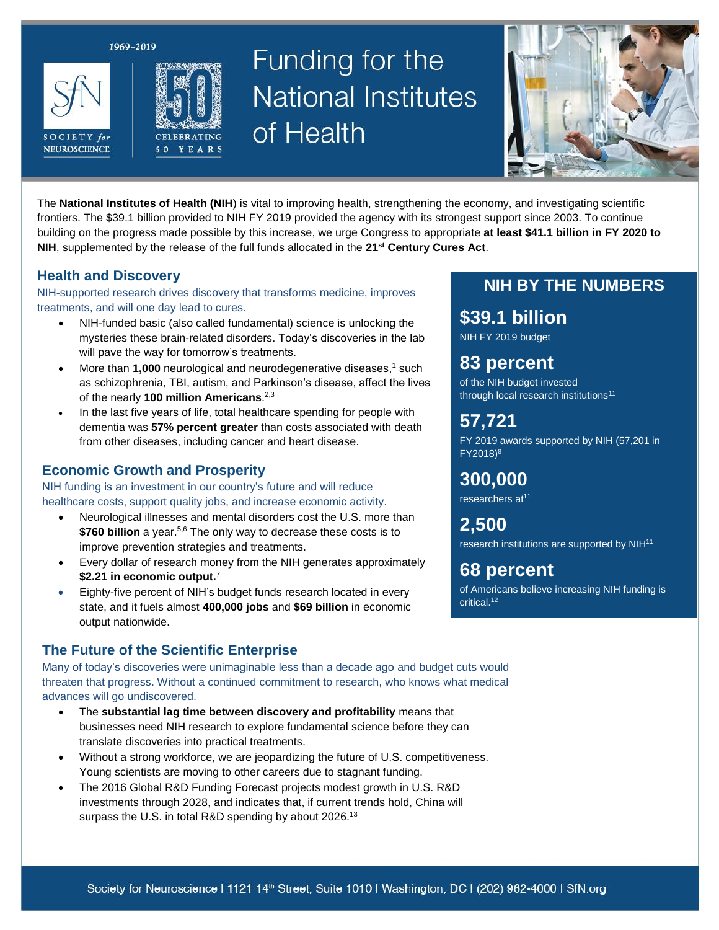1969-2019





# Funding for the **National Institutes** of Health



The **National Institutes of Health (NIH**) is vital to improving health, strengthening the economy, and investigating scientific frontiers. The \$39.1 billion provided to NIH FY 2019 provided the agency with its strongest support since 2003. To continue building on the progress made possible by this increase, we urge Congress to appropriate **at least \$41.1 billion in FY 2020 to NIH**, supplemented by the release of the full funds allocated in the **21st Century Cures Act**.

#### **Health and Discovery**

NIH-supported research drives discovery that transforms medicine, improves treatments, and will one day lead to cures.

- NIH-funded basic (also called fundamental) science is unlocking the mysteries these brain-related disorders. Today's discoveries in the lab will pave the way for tomorrow's treatments.
- More than **1,000** neurological and neurodegenerative diseases,<sup>1</sup> such as schizophrenia, TBI, autism, and Parkinson's disease, affect the lives of the nearly **100 million Americans**. 2,3
- In the last five years of life, total healthcare spending for people with dementia was **57% percent greater** than costs associated with death from other diseases, including cancer and heart disease.

#### **Economic Growth and Prosperity**

NIH funding is an investment in our country's future and will reduce healthcare costs, support quality jobs, and increase economic activity.

- Neurological illnesses and mental disorders cost the U.S. more than **\$760 billion** a year.<sup>5,6</sup> The only way to decrease these costs is to improve prevention strategies and treatments.
- Every dollar of research money from the NIH generates approximately **\$2.21 in economic output.** 7
- Eighty-five percent of NIH's budget funds research located in every state, and it fuels almost **400,000 jobs** and **\$69 billion** in economic output nationwide.

#### **The Future of the Scientific Enterprise**

Many of today's discoveries were unimaginable less than a decade ago and budget cuts would threaten that progress. Without a continued commitment to research, who knows what medical advances will go undiscovered.

- The **substantial lag time between discovery and profitability** means that businesses need NIH research to explore fundamental science before they can translate discoveries into practical treatments.
- Without a strong workforce, we are jeopardizing the future of U.S. competitiveness. Young scientists are moving to other careers due to stagnant funding.
- The 2016 Global R&D Funding Forecast projects modest growth in U.S. R&D investments through 2028, and indicates that, if current trends hold, China will surpass the U.S. in total R&D spending by about 2026.<sup>13</sup>

#### **NIH BY THE NUMBERS**

## **\$39.1 billion**

NIH FY 2019 budget

## **83 percent**

of the NIH budget invested through local research institutions<sup>11</sup>

## **57,721**

FY 2019 awards supported by NIH (57,201 in FY2018) 8

### **300,000**

researchers at<sup>11</sup>

**2,500** research institutions are supported by NIH<sup>11</sup>

### **68 percent**

of Americans believe increasing NIH funding is critical.12